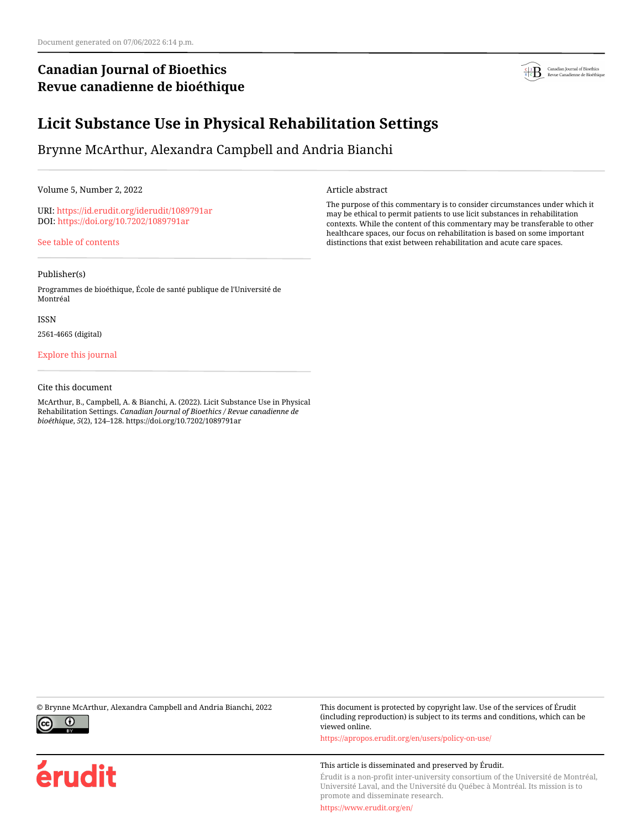# **Canadian Journal of Bioethics Revue canadienne de bioéthique**



# **Licit Substance Use in Physical Rehabilitation Settings**

Brynne McArthur, Alexandra Campbell and Andria Bianchi

Volume 5, Number 2, 2022

URI:<https://id.erudit.org/iderudit/1089791ar> DOI:<https://doi.org/10.7202/1089791ar>

[See table of contents](https://www.erudit.org/en/journals/bioethics/2022-v5-n2-bioethics07048/)

## Publisher(s)

Programmes de bioéthique, École de santé publique de l'Université de Montréal

ISSN

2561-4665 (digital)

## [Explore this journal](https://www.erudit.org/en/journals/bioethics/)

### Cite this document

McArthur, B., Campbell, A. & Bianchi, A. (2022). Licit Substance Use in Physical Rehabilitation Settings. *Canadian Journal of Bioethics / Revue canadienne de bioéthique*, *5*(2), 124–128. https://doi.org/10.7202/1089791ar

Article abstract

The purpose of this commentary is to consider circumstances under which it may be ethical to permit patients to use licit substances in rehabilitation contexts. While the content of this commentary may be transferable to other healthcare spaces, our focus on rehabilitation is based on some important distinctions that exist between rehabilitation and acute care spaces.



érudit

© Brynne McArthur, Alexandra Campbell and Andria Bianchi, 2022 This document is protected by copyright law. Use of the services of Érudit (including reproduction) is subject to its terms and conditions, which can be viewed online.

<https://apropos.erudit.org/en/users/policy-on-use/>

### This article is disseminated and preserved by Érudit.

Érudit is a non-profit inter-university consortium of the Université de Montréal, Université Laval, and the Université du Québec à Montréal. Its mission is to promote and disseminate research.

<https://www.erudit.org/en/>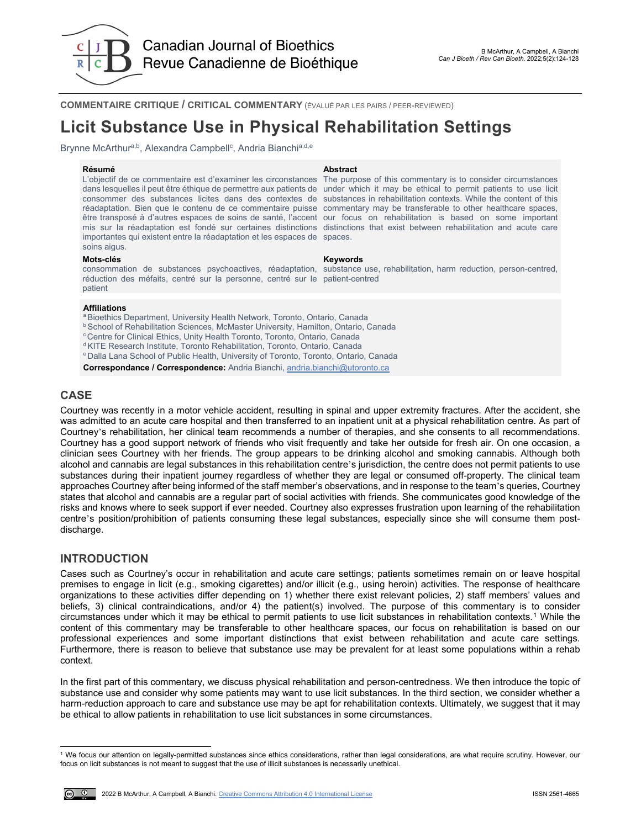

**COMMENTAIRE CRITIQUE / CRITICAL COMMENTARY** (ÉVALUÉ PAR LES PAIRS / PEER-REVIEWED)

# **Licit Substance Use in Physical Rehabilitation Settings**

Brynne McArthura,b, Alexandra Campbell<sup>c</sup>, Andria Bianchia,d,e

L'objectif de ce commentaire est d'examiner les circonstances The purpose of this commentary is to consider circumstances dans lesquelles il peut être éthique de permettre aux patients de under which it may be ethical to permit patients to use licit consommer des substances licites dans des contextes de substances in rehabilitation contexts. While the content of this réadaptation. Bien que le contenu de ce commentaire puisse commentary may be transferable to other healthcare spaces, être transposé à d'autres espaces de soins de santé, l'accent our focus on rehabilitation is based on some important mis sur la réadaptation est fondé sur certaines distinctions distinctions that exist between rehabilitation and acute care importantes qui existent entre la réadaptation et les espaces de spaces. soins aigus.

## **Résumé Abstract**

### **Mots-clés Keywords**

consommation de substances psychoactives, réadaptation, substance use, rehabilitation, harm reduction, person-centred, réduction des méfaits, centré sur la personne, centré sur le patient-centred patient

### **Affiliations**

<sup>a</sup> Bioethics Department, University Health Network, Toronto, Ontario, Canada

**b School of Rehabilitation Sciences, McMaster University, Hamilton, Ontario, Canada** 

<sup>c</sup> Centre for Clinical Ethics, Unity Health Toronto, Toronto, Ontario, Canada

d KITE Research Institute, Toronto Rehabilitation, Toronto, Ontario, Canada

e Dalla Lana School of Public Health, University of Toronto, Toronto, Ontario, Canada

**Correspondance / Correspondence:** Andria Bianchi, [andria.bianchi@utoronto.ca](mailto:andria.bianchi@utoronto.ca)

## **CASE**

Courtney was recently in a motor vehicle accident, resulting in spinal and upper extremity fractures. After the accident, she was admitted to an acute care hospital and then transferred to an inpatient unit at a physical rehabilitation centre. As part of Courtney's rehabilitation, her clinical team recommends a number of therapies, and she consents to all recommendations. Courtney has a good support network of friends who visit frequently and take her outside for fresh air. On one occasion, a clinician sees Courtney with her friends. The group appears to be drinking alcohol and smoking cannabis. Although both alcohol and cannabis are legal substances in this rehabilitation centre's jurisdiction, the centre does not permit patients to use substances during their inpatient journey regardless of whether they are legal or consumed off-property. The clinical team approaches Courtney after being informed of the staff member's observations, and in response to the team's queries, Courtney states that alcohol and cannabis are a regular part of social activities with friends. She communicates good knowledge of the risks and knows where to seek support if ever needed. Courtney also expresses frustration upon learning of the rehabilitation centre's position/prohibition of patients consuming these legal substances, especially since she will consume them postdischarge.

## **INTRODUCTION**

Cases such as Courtney's occur in rehabilitation and acute care settings; patients sometimes remain on or leave hospital premises to engage in licit (e.g., smoking cigarettes) and/or illicit (e.g., using heroin) activities. The response of healthcare organizations to these activities differ depending on 1) whether there exist relevant policies, 2) staff members' values and beliefs, 3) clinical contraindications, and/or 4) the patient(s) involved. The purpose of this commentary is to consider circumstances under which it may be ethical to permit patients to use licit substances in rehabilitation contexts.[1](#page-1-0) While the content of this commentary may be transferable to other healthcare spaces, our focus on rehabilitation is based on our professional experiences and some important distinctions that exist between rehabilitation and acute care settings. Furthermore, there is reason to believe that substance use may be prevalent for at least some populations within a rehab context.

In the first part of this commentary, we discuss physical rehabilitation and person-centredness. We then introduce the topic of substance use and consider why some patients may want to use licit substances. In the third section, we consider whether a harm-reduction approach to care and substance use may be apt for rehabilitation contexts. Ultimately, we suggest that it may be ethical to allow patients in rehabilitation to use licit substances in some circumstances.

<span id="page-1-0"></span>l <sup>1</sup> We focus our attention on legally-permitted substances since ethics considerations, rather than legal considerations, are what require scrutiny. However, our focus on licit substances is not meant to suggest that the use of illicit substances is necessarily unethical.

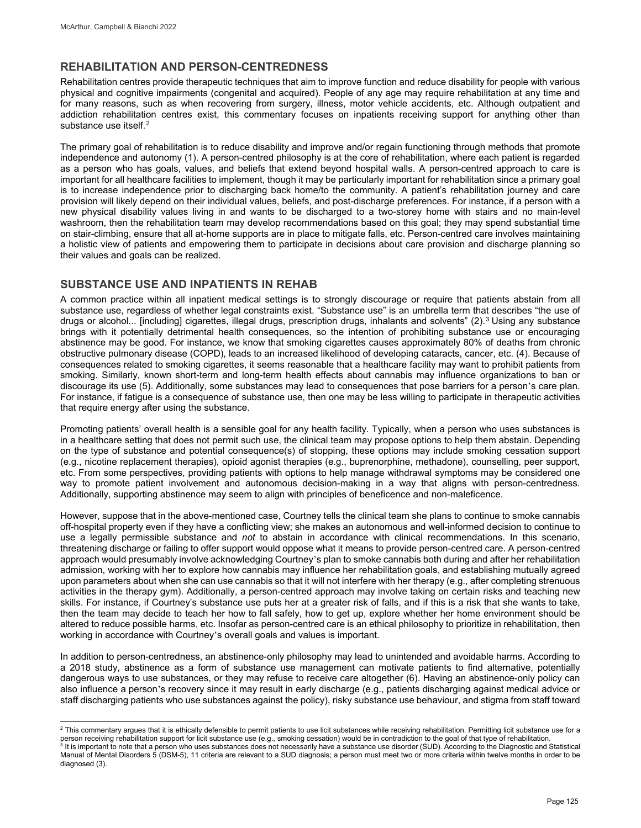## **REHABILITATION AND PERSON-CENTREDNESS**

Rehabilitation centres provide therapeutic techniques that aim to improve function and reduce disability for people with various physical and cognitive impairments (congenital and acquired). People of any age may require rehabilitation at any time and for many reasons, such as when recovering from surgery, illness, motor vehicle accidents, etc. Although outpatient and addiction rehabilitation centres exist, this commentary focuses on inpatients receiving support for anything other than substance use itself.<sup>[2](#page-2-0)</sup>

The primary goal of rehabilitation is to reduce disability and improve and/or regain functioning through methods that promote independence and autonomy (1). A person-centred philosophy is at the core of rehabilitation, where each patient is regarded as a person who has goals, values, and beliefs that extend beyond hospital walls. A person-centred approach to care is important for all healthcare facilities to implement, though it may be particularly important for rehabilitation since a primary goal is to increase independence prior to discharging back home/to the community. A patient's rehabilitation journey and care provision will likely depend on their individual values, beliefs, and post-discharge preferences. For instance, if a person with a new physical disability values living in and wants to be discharged to a two-storey home with stairs and no main-level washroom, then the rehabilitation team may develop recommendations based on this goal; they may spend substantial time on stair-climbing, ensure that all at-home supports are in place to mitigate falls, etc. Person-centred care involves maintaining a holistic view of patients and empowering them to participate in decisions about care provision and discharge planning so their values and goals can be realized.

## **SUBSTANCE USE AND INPATIENTS IN REHAB**

A common practice within all inpatient medical settings is to strongly discourage or require that patients abstain from all substance use, regardless of whether legal constraints exist. "Substance use" is an umbrella term that describes "the use of drugs or alcohol... [including] cigarettes, illegal drugs, prescription drugs, inhalants and solvents" (2).<sup>3</sup> Using any substance brings with it potentially detrimental health consequences, so the intention of prohibiting substance use or encouraging abstinence may be good. For instance, we know that smoking cigarettes causes approximately 80% of deaths from chronic obstructive pulmonary disease (COPD), leads to an increased likelihood of developing cataracts, cancer, etc. (4). Because of consequences related to smoking cigarettes, it seems reasonable that a healthcare facility may want to prohibit patients from smoking. Similarly, known short-term and long-term health effects about cannabis may influence organizations to ban or discourage its use (5). Additionally, some substances may lead to consequences that pose barriers for a person's care plan. For instance, if fatigue is a consequence of substance use, then one may be less willing to participate in therapeutic activities that require energy after using the substance.

Promoting patients' overall health is a sensible goal for any health facility. Typically, when a person who uses substances is in a healthcare setting that does not permit such use, the clinical team may propose options to help them abstain. Depending on the type of substance and potential consequence(s) of stopping, these options may include smoking cessation support (e.g., nicotine replacement therapies), opioid agonist therapies (e.g., buprenorphine, methadone), counselling, peer support, etc. From some perspectives, providing patients with options to help manage withdrawal symptoms may be considered one way to promote patient involvement and autonomous decision-making in a way that aligns with person-centredness. Additionally, supporting abstinence may seem to align with principles of beneficence and non-maleficence.

However, suppose that in the above-mentioned case, Courtney tells the clinical team she plans to continue to smoke cannabis off-hospital property even if they have a conflicting view; she makes an autonomous and well-informed decision to continue to use a legally permissible substance and *not* to abstain in accordance with clinical recommendations. In this scenario, threatening discharge or failing to offer support would oppose what it means to provide person-centred care. A person-centred approach would presumably involve acknowledging Courtney's plan to smoke cannabis both during and after her rehabilitation admission, working with her to explore how cannabis may influence her rehabilitation goals, and establishing mutually agreed upon parameters about when she can use cannabis so that it will not interfere with her therapy (e.g., after completing strenuous activities in the therapy gym). Additionally, a person-centred approach may involve taking on certain risks and teaching new skills. For instance, if Courtney's substance use puts her at a greater risk of falls, and if this is a risk that she wants to take, then the team may decide to teach her how to fall safely, how to get up, explore whether her home environment should be altered to reduce possible harms, etc. Insofar as person-centred care is an ethical philosophy to prioritize in rehabilitation, then working in accordance with Courtney's overall goals and values is important.

In addition to person-centredness, an abstinence-only philosophy may lead to unintended and avoidable harms. According to a 2018 study, abstinence as a form of substance use management can motivate patients to find alternative, potentially dangerous ways to use substances, or they may refuse to receive care altogether (6). Having an abstinence-only policy can also influence a person's recovery since it may result in early discharge (e.g., patients discharging against medical advice or staff discharging patients who use substances against the policy), risky substance use behaviour, and stigma from staff toward

<span id="page-2-0"></span> <sup>2</sup> This commentary argues that it is ethically defensible to permit patients to use licit substances while receiving rehabilitation. Permitting licit substance use for a person receiving rehabilitation support for licit substance use (e.g., smoking cessation) would be in contradiction to the goal of that type of rehabilitation.

<span id="page-2-1"></span>It is important to note that a person who uses substances does not necessarily have a substance use disorder (SUD). According to the Diagnostic and Statistical Manual of Mental Disorders 5 (DSM-5), 11 criteria are relevant to a SUD diagnosis; a person must meet two or more criteria within twelve months in order to be diagnosed (3).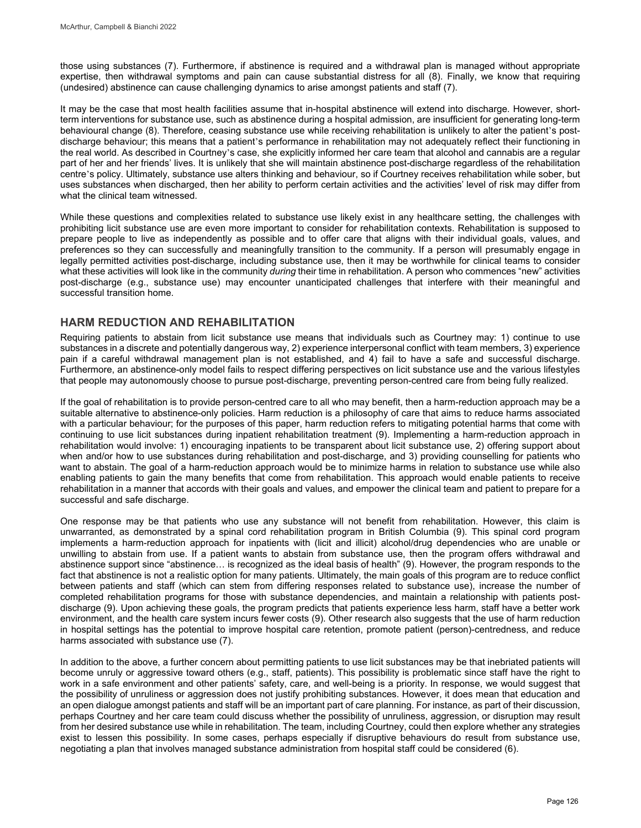those using substances (7). Furthermore, if abstinence is required and a withdrawal plan is managed without appropriate expertise, then withdrawal symptoms and pain can cause substantial distress for all (8). Finally, we know that requiring (undesired) abstinence can cause challenging dynamics to arise amongst patients and staff (7).

It may be the case that most health facilities assume that in-hospital abstinence will extend into discharge. However, shortterm interventions for substance use, such as abstinence during a hospital admission, are insufficient for generating long-term behavioural change (8). Therefore, ceasing substance use while receiving rehabilitation is unlikely to alter the patient's postdischarge behaviour; this means that a patient's performance in rehabilitation may not adequately reflect their functioning in the real world. As described in Courtney's case, she explicitly informed her care team that alcohol and cannabis are a regular part of her and her friends' lives. It is unlikely that she will maintain abstinence post-discharge regardless of the rehabilitation centre's policy. Ultimately, substance use alters thinking and behaviour, so if Courtney receives rehabilitation while sober, but uses substances when discharged, then her ability to perform certain activities and the activities' level of risk may differ from what the clinical team witnessed.

While these questions and complexities related to substance use likely exist in any healthcare setting, the challenges with prohibiting licit substance use are even more important to consider for rehabilitation contexts. Rehabilitation is supposed to prepare people to live as independently as possible and to offer care that aligns with their individual goals, values, and preferences so they can successfully and meaningfully transition to the community. If a person will presumably engage in legally permitted activities post-discharge, including substance use, then it may be worthwhile for clinical teams to consider what these activities will look like in the community *during* their time in rehabilitation. A person who commences "new" activities post-discharge (e.g., substance use) may encounter unanticipated challenges that interfere with their meaningful and successful transition home.

## **HARM REDUCTION AND REHABILITATION**

Requiring patients to abstain from licit substance use means that individuals such as Courtney may: 1) continue to use substances in a discrete and potentially dangerous way, 2) experience interpersonal conflict with team members, 3) experience pain if a careful withdrawal management plan is not established, and 4) fail to have a safe and successful discharge. Furthermore, an abstinence-only model fails to respect differing perspectives on licit substance use and the various lifestyles that people may autonomously choose to pursue post-discharge, preventing person-centred care from being fully realized.

If the goal of rehabilitation is to provide person-centred care to all who may benefit, then a harm-reduction approach may be a suitable alternative to abstinence-only policies. Harm reduction is a philosophy of care that aims to reduce harms associated with a particular behaviour; for the purposes of this paper, harm reduction refers to mitigating potential harms that come with continuing to use licit substances during inpatient rehabilitation treatment (9). Implementing a harm-reduction approach in rehabilitation would involve: 1) encouraging inpatients to be transparent about licit substance use, 2) offering support about when and/or how to use substances during rehabilitation and post-discharge, and 3) providing counselling for patients who want to abstain. The goal of a harm-reduction approach would be to minimize harms in relation to substance use while also enabling patients to gain the many benefits that come from rehabilitation. This approach would enable patients to receive rehabilitation in a manner that accords with their goals and values, and empower the clinical team and patient to prepare for a successful and safe discharge.

One response may be that patients who use any substance will not benefit from rehabilitation. However, this claim is unwarranted, as demonstrated by a spinal cord rehabilitation program in British Columbia (9). This spinal cord program implements a harm-reduction approach for inpatients with (licit and illicit) alcohol/drug dependencies who are unable or unwilling to abstain from use. If a patient wants to abstain from substance use, then the program offers withdrawal and abstinence support since "abstinence… is recognized as the ideal basis of health" (9). However, the program responds to the fact that abstinence is not a realistic option for many patients. Ultimately, the main goals of this program are to reduce conflict between patients and staff (which can stem from differing responses related to substance use), increase the number of completed rehabilitation programs for those with substance dependencies, and maintain a relationship with patients postdischarge (9). Upon achieving these goals, the program predicts that patients experience less harm, staff have a better work environment, and the health care system incurs fewer costs (9). Other research also suggests that the use of harm reduction in hospital settings has the potential to improve hospital care retention, promote patient (person)-centredness, and reduce harms associated with substance use (7).

In addition to the above, a further concern about permitting patients to use licit substances may be that inebriated patients will become unruly or aggressive toward others (e.g., staff, patients). This possibility is problematic since staff have the right to work in a safe environment and other patients' safety, care, and well-being is a priority. In response, we would suggest that the possibility of unruliness or aggression does not justify prohibiting substances. However, it does mean that education and an open dialogue amongst patients and staff will be an important part of care planning. For instance, as part of their discussion, perhaps Courtney and her care team could discuss whether the possibility of unruliness, aggression, or disruption may result from her desired substance use while in rehabilitation. The team, including Courtney, could then explore whether any strategies exist to lessen this possibility. In some cases, perhaps especially if disruptive behaviours do result from substance use, negotiating a plan that involves managed substance administration from hospital staff could be considered (6).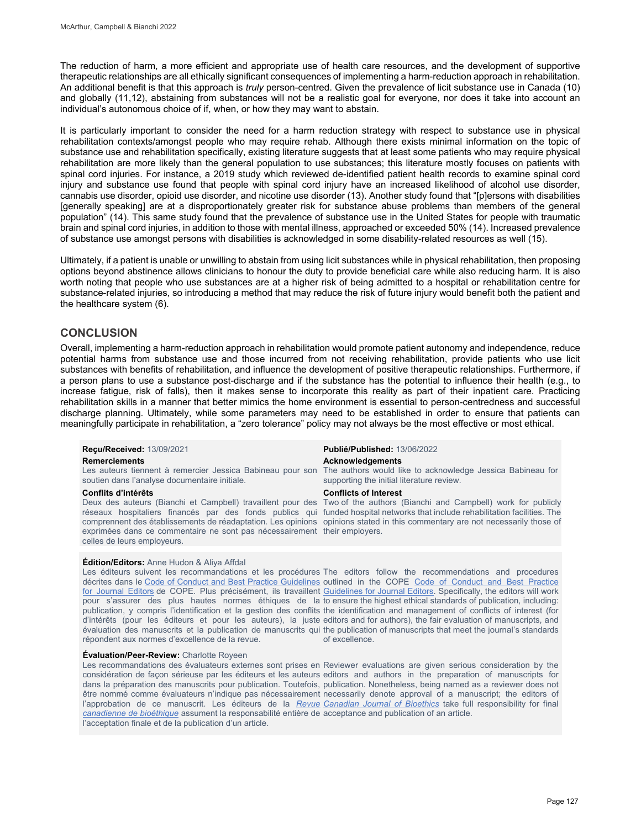The reduction of harm, a more efficient and appropriate use of health care resources, and the development of supportive therapeutic relationships are all ethically significant consequences of implementing a harm-reduction approach in rehabilitation. An additional benefit is that this approach is *truly* person-centred. Given the prevalence of licit substance use in Canada (10) and globally (11,12), abstaining from substances will not be a realistic goal for everyone, nor does it take into account an individual's autonomous choice of if, when, or how they may want to abstain.

It is particularly important to consider the need for a harm reduction strategy with respect to substance use in physical rehabilitation contexts/amongst people who may require rehab. Although there exists minimal information on the topic of substance use and rehabilitation specifically, existing literature suggests that at least some patients who may require physical rehabilitation are more likely than the general population to use substances; this literature mostly focuses on patients with spinal cord injuries. For instance, a 2019 study which reviewed de-identified patient health records to examine spinal cord injury and substance use found that people with spinal cord injury have an increased likelihood of alcohol use disorder, cannabis use disorder, opioid use disorder, and nicotine use disorder (13). Another study found that "[p]ersons with disabilities [generally speaking] are at a disproportionately greater risk for substance abuse problems than members of the general population" (14). This same study found that the prevalence of substance use in the United States for people with traumatic brain and spinal cord injuries, in addition to those with mental illness, approached or exceeded 50% (14). Increased prevalence of substance use amongst persons with disabilities is acknowledged in some disability-related resources as well (15).

Ultimately, if a patient is unable or unwilling to abstain from using licit substances while in physical rehabilitation, then proposing options beyond abstinence allows clinicians to honour the duty to provide beneficial care while also reducing harm. It is also worth noting that people who use substances are at a higher risk of being admitted to a hospital or rehabilitation centre for substance-related injuries, so introducing a method that may reduce the risk of future injury would benefit both the patient and the healthcare system (6).

## **CONCLUSION**

Overall, implementing a harm-reduction approach in rehabilitation would promote patient autonomy and independence, reduce potential harms from substance use and those incurred from not receiving rehabilitation, provide patients who use licit substances with benefits of rehabilitation, and influence the development of positive therapeutic relationships. Furthermore, if a person plans to use a substance post-discharge and if the substance has the potential to influence their health (e.g., to increase fatigue, risk of falls), then it makes sense to incorporate this reality as part of their inpatient care. Practicing rehabilitation skills in a manner that better mimics the home environment is essential to person-centredness and successful discharge planning. Ultimately, while some parameters may need to be established in order to ensure that patients can meaningfully participate in rehabilitation, a "zero tolerance" policy may not always be the most effective or most ethical.

soutien dans l'analyse documentaire initiale.

Deux des auteurs (Bianchi et Campbell) travaillent pour des réseaux hospitaliers financés par des fonds publics qui exprimées dans ce commentaire ne sont pas nécessairement their employers. celles de leurs employeurs.

### **Édition/Editors:** Anne Hudon & Aliya Affdal

Les éditeurs suivent les recommandations et les procédures The editors follow the recommendations and procedures décrites dans le [Code of Conduct and Best Practice Guidelines](http://publicationethics.org/resources/code-conduct) outlined in the COPE Code of Conduct and Best Practice [for Journal Editors](http://publicationethics.org/resources/code-conduct) de COPE. Plus précisément, ils travaillent [Guidelines for Journal Editors.](http://publicationethics.org/resources/code-conduct) Specifically, the editors will work pour s'assurer des plus hautes normes éthiques de la toensure the highestethical standardsofpublication, including: publication, y compris l'identification et la gestion des conflits the identification and management of conflicts of interest (for d'intérêts (pour les éditeurs et pour les auteurs), la juste editors and for authors), the fair evaluation of manuscripts, and évaluation des manuscrits et la publication de manuscrits qui the publication of manuscripts that meet the journal's standards répondent aux normes d'excellence de la revue.

#### **Évaluation/Peer-Review:** Charlotte Royeen

Les recommandations des évaluateurs externes sont prises en Reviewer evaluations are given serious consideration by the considération de façon sérieuse par les éditeurs et les auteurs editors and authors in the preparation of manuscripts for dans la préparation des manuscrits pour publication. Toutefois, publication. Nonetheless, being named as a reviewer does not être nommé comme évaluateurs n'indique pas nécessairement necessarily denote approval of a manuscript; the editors of l'approbation de ce manuscrit. Les éditeurs de la <u>*Revue* C*anadian Journal of Bioethics</u> take full* responsibility for final</u> *[canadienne de bioéthique](http://cjb-rcb.ca/)* assument la responsabilité entière de acceptance and publication of an article. l'acceptation finale et de la publication d'un article.

## **Reçu/Received:** 13/09/2021 **Publié/Published:** 13/06/2022

## **Remerciements Acknowledgements**

Les auteurs tiennent à remercier Jessica Babineau pour son The authors would like to acknowledge Jessica Babineau for supporting the initial literature review.

#### **Conflits d'intérêts Conflicts of Interest**

comprennent des établissements de réadaptation. Les opinions opinions stated in this commentary are not necessarily those of Two of the authors (Bianchi and Campbell) work for publicly funded hospital networks that include rehabilitation facilities. The

of excellence.